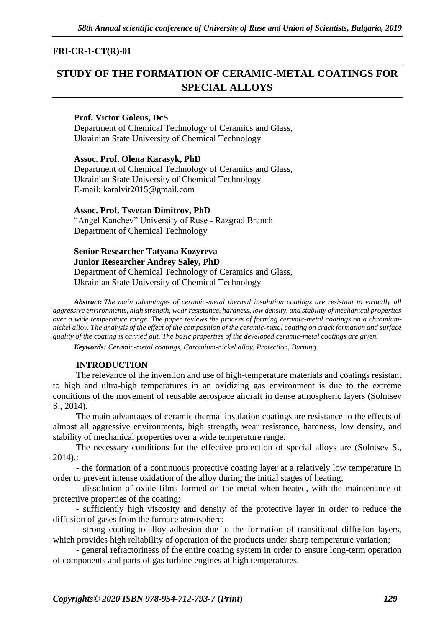## **FRI-CR-1-CT(R)-01**

# **STUDY OF THE FORMATION OF CERAMIC-METAL COATINGS FOR SPECIAL ALLOYS**

## **Prof. Victor Goleus, DcS**

Department of Chemical Technology of Ceramics and Glass, Ukrainian State University of Chemical Technology

#### **Assoc. Prof. Olena Karasyk, PhD**

Department of Chemical Technology of Ceramics and Glass, Ukrainian State University of Chemical Technology Е-mail: [karalvit2015@gmail.com](mailto:karalvit2015@gmail.com)

**Assoc. Prof. Tsvetan Dimitrov, PhD** "Angel Kanchev" University of Ruse - Razgrad Branch Department of Chemical Technology

## **Senior Researcher Tatyana Kozyreva Junior Researcher Andrey Saley, PhD**

Department of Chemical Technology of Ceramics and Glass, Ukrainian State University of Chemical Technology

*Abstract: The main advantages of ceramic-metal thermal insulation coatings are resistant to virtually all aggressive environments, high strength, wear resistance, hardness, low density, and stability of mechanical properties over a wide temperature range. The paper reviews the process of forming ceramic-metal coatings on a chromiumnickel alloy. The analysis of the effect of the composition of the ceramic-metal coating on crack formation and surface quality of the coating is carried out. The basic properties of the developed ceramic-metal coatings are given.*

*Keywords: Ceramic-metal coatings, Chromium-nickel alloy, Protection, Burning*

## **INTRODUCTION**

The relevance of the invention and use of high-temperature materials and coatings resistant to high and ultra-high temperatures in an oxidizing gas environment is due to the extreme conditions of the movement of reusable aerospace aircraft in dense atmospheric layers (Solntsev S., 2014).

The main advantages of ceramic thermal insulation coatings are resistance to the effects of almost all aggressive environments, high strength, wear resistance, hardness, low density, and stability of mechanical properties over a wide temperature range.

The necessary conditions for the effective protection of special alloys are (Solntsev S., 2014).:

- the formation of a continuous protective coating layer at a relatively low temperature in order to prevent intense oxidation of the alloy during the initial stages of heating;

- dissolution of oxide films formed on the metal when heated, with the maintenance of protective properties of the coating;

- sufficiently high viscosity and density of the protective layer in order to reduce the diffusion of gases from the furnace atmosphere;

- strong coating-to-alloy adhesion due to the formation of transitional diffusion layers, which provides high reliability of operation of the products under sharp temperature variation;

- general refractoriness of the entire coating system in order to ensure long-term operation of components and parts of gas turbine engines at high temperatures.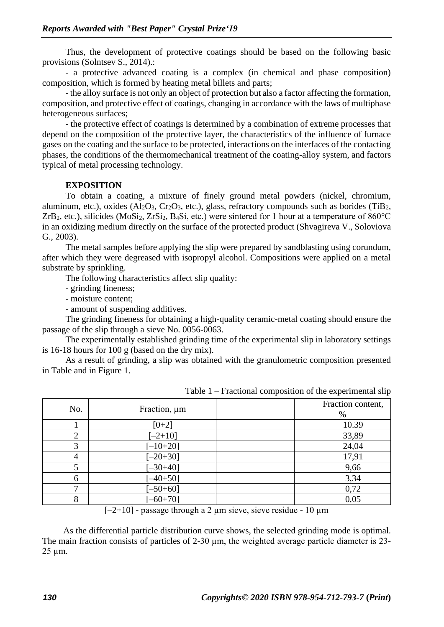Thus, the development of protective coatings should be based on the following basic provisions (Solntsev S., 2014).:

- a protective advanced coating is a complex (in chemical and phase composition) composition, which is formed by heating metal billets and parts;

- the alloy surface is not only an object of protection but also a factor affecting the formation, composition, and protective effect of coatings, changing in accordance with the laws of multiphase heterogeneous surfaces;

- the protective effect of coatings is determined by a combination of extreme processes that depend on the composition of the protective layer, the characteristics of the influence of furnace gases on the coating and the surface to be protected, interactions on the interfaces of the contacting phases, the conditions of the thermomechanical treatment of the coating-alloy system, and factors typical of metal processing technology.

## **EXPOSITION**

To obtain a coating, a mixture of finely ground metal powders (nickel, chromium, aluminum, etc.), oxides  $(A<sub>12</sub>O<sub>3</sub>, Cr<sub>2</sub>O<sub>3</sub>, etc.)$ , glass, refractory compounds such as borides (TiB<sub>2</sub>, ZrB<sub>2</sub>, etc.), silicides (MoSi<sub>2</sub>, ZrSi<sub>2</sub>, B<sub>4</sub>Si, etc.) were sintered for 1 hour at a temperature of 860<sup>o</sup>C in an oxidizing medium directly on the surface of the protected product (Shvagireva V., Soloviova G., 2003).

The metal samples before applying the slip were prepared by sandblasting using corundum, after which they were degreased with isopropyl alcohol. Compositions were applied on a metal substrate by sprinkling.

The following characteristics affect slip quality:

- grinding fineness;
- moisture content;
- amount of suspending additives.

The grinding fineness for obtaining a high-quality ceramic-metal coating should ensure the passage of the slip through a sieve No. 0056-0063.

The experimentally established grinding time of the experimental slip in laboratory settings is 16-18 hours for 100 g (based on the dry mix).

As a result of grinding, a slip was obtained with the granulometric composition presented in Table and in Figure 1.

|     |              | $\mathbf{r}$<br>$\overline{\phantom{a}}$ |
|-----|--------------|------------------------------------------|
| No. | Fraction, µm | Fraction content,<br>%                   |
|     | $[0+2]$      | 10.39                                    |
|     | $[-2+10]$    | 33,89                                    |
| 3   | $[-10+20]$   | 24,04                                    |
|     | $[-20+30]$   | 17,91                                    |
|     | $[-30+40]$   | 9,66                                     |
|     | $[-40+50]$   | 3,34                                     |
| −   | $[-50+60]$   | 0,72                                     |
| 8   | $[-60+70]$   | 0,05                                     |

Table 1 – Fractional composition of the experimental slip

 $[-2+10]$  - passage through a 2 µm sieve, sieve residue - 10 µm

As the differential particle distribution curve shows, the selected grinding mode is optimal. The main fraction consists of particles of 2-30  $\mu$ m, the weighted average particle diameter is 23-25 µm.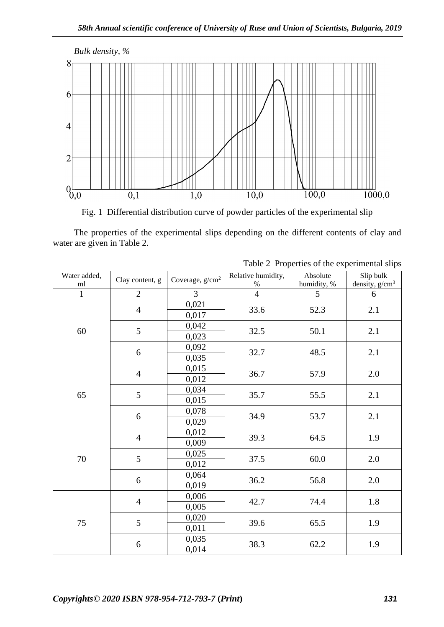

Fig. 1 Differential distribution curve of powder particles of the experimental slip

The properties of the experimental slips depending on the different contents of clay and water are given in Table 2.

| Water added,<br>ml | Clay content, g | Coverage, g/cm <sup>2</sup> | Relative humidity,<br>$\%$ | Absolute<br>humidity, % | Slip bulk<br>density, $g/cm^3$ |
|--------------------|-----------------|-----------------------------|----------------------------|-------------------------|--------------------------------|
| 1                  | $\overline{2}$  | 3                           | $\overline{4}$             | 5                       | 6                              |
| 60                 | $\overline{4}$  | 0,021<br>0,017              | 33.6                       | 52.3                    | 2.1                            |
|                    | 5               | 0,042<br>0,023              | 32.5                       | 50.1                    | 2.1                            |
|                    | 6               | 0,092<br>0,035              | 32.7                       | 48.5                    | 2.1                            |
| 65                 | $\overline{4}$  | 0,015<br>0,012              | 36.7                       | 57.9                    | 2.0                            |
|                    | 5               | 0,034<br>0,015              | 35.7                       | 55.5                    | 2.1                            |
|                    | 6               | 0,078<br>0,029              | 34.9                       | 53.7                    | 2.1                            |
| $70\,$             | $\overline{4}$  | 0,012<br>0,009              | 39.3                       | 64.5                    | 1.9                            |
|                    | 5               | 0,025<br>0,012              | 37.5                       | 60.0                    | 2.0                            |
|                    | 6               | 0,064<br>0,019              | 36.2                       | 56.8                    | 2.0                            |
| 75                 | $\overline{4}$  | 0,006<br>0,005              | 42.7                       | 74.4                    | 1.8                            |
|                    | 5               | 0,020<br>0,011              | 39.6                       | 65.5                    | 1.9                            |
|                    | 6               | 0,035<br>0,014              | 38.3                       | 62.2                    | 1.9                            |

Table 2 Properties of the experimental slips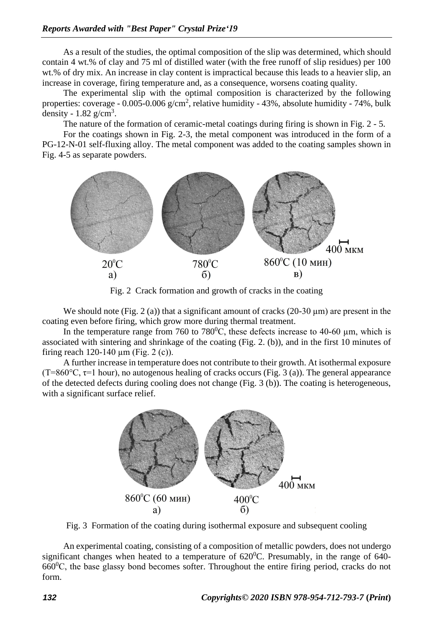As a result of the studies, the optimal composition of the slip was determined, which should contain 4 wt.% of clay and 75 ml of distilled water (with the free runoff of slip residues) per 100 wt.% of dry mix. An increase in clay content is impractical because this leads to a heavier slip, an increase in coverage, firing temperature and, as a consequence, worsens coating quality.

The experimental slip with the optimal composition is characterized by the following properties: coverage - 0.005-0.006  $g/cm^2$ , relative humidity - 43%, absolute humidity - 74%, bulk density -  $1.82$  g/cm<sup>3</sup>.

The nature of the formation of ceramic-metal coatings during firing is shown in Fig. 2 - 5.

For the coatings shown in Fig. 2-3, the metal component was introduced in the form of a PG-12-N-01 self-fluxing alloy. The metal component was added to the coating samples shown in Fig. 4-5 as separate powders.



Fig. 2 Crack formation and growth of cracks in the coating

We should note (Fig. 2 (a)) that a significant amount of cracks (20-30  $\mu$ m) are present in the coating even before firing, which grow more during thermal treatment.

In the temperature range from 760 to 780 $^{\circ}$ C, these defects increase to 40-60 um, which is associated with sintering and shrinkage of the coating (Fig. 2. (b)), and in the first 10 minutes of firing reach 120-140  $\mu$ m (Fig. 2 (c)).

A further increase in temperature does not contribute to their growth. At isothermal exposure  $(T=860^{\circ}C, \tau=1$  hour), no autogenous healing of cracks occurs (Fig. 3 (a)). The general appearance of the detected defects during cooling does not change (Fig. 3 (b)). The coating is heterogeneous, with a significant surface relief.



Fig. 3 Formation of the coating during isothermal exposure and subsequent cooling

An experimental coating, consisting of a composition of metallic powders, does not undergo significant changes when heated to a temperature of  $620^{\circ}$ C. Presumably, in the range of 640- $660^{\circ}$ C, the base glassy bond becomes softer. Throughout the entire firing period, cracks do not form.